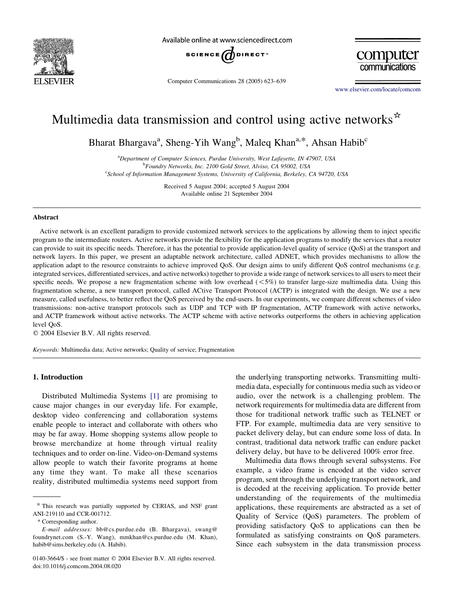

Available online at www.sciencedirect.com



Computer Communications 28 (2005) 623–639

computer communications

[www.elsevier.com/locate/comcom](http://www.elsevier.com/locate/comcom)

# Multimedia data transmission and control using active networks $\vec{r}$

Bharat Bhargava<sup>a</sup>, Sheng-Yih Wang<sup>b</sup>, Maleq Khan<sup>a,\*</sup>, Ahsan Habib<sup>c</sup>

<sup>a</sup>Department of Computer Sciences, Purdue University, West Lafayette, IN 47907, USA <sup>b</sup>Foundry Networks, Inc. 2100 Gold Street, Alviso, CA 95002, USA <sup>c</sup>School of Information Management Systems, University of California, Berkeley, CA 94720, USA

> Received 5 August 2004; accepted 5 August 2004 Available online 21 September 2004

#### Abstract

Active network is an excellent paradigm to provide customized network services to the applications by allowing them to inject specific program to the intermediate routers. Active networks provide the flexibility for the application programs to modify the services that a router can provide to suit its specific needs. Therefore, it has the potential to provide application-level quality of service (QoS) at the transport and network layers. In this paper, we present an adaptable network architecture, called ADNET, which provides mechanisms to allow the application adapt to the resource constraints to achieve improved QoS. Our design aims to unify different QoS control mechanisms (e.g. integrated services, differentiated services, and active networks) together to provide a wide range of network services to all users to meet their specific needs. We propose a new fragmentation scheme with low overhead  $(< 5\%)$  to transfer large-size multimedia data. Using this fragmentation scheme, a new transport protocol, called ACtive Transport Protocol (ACTP) is integrated with the design. We use a new measure, called usefulness, to better reflect the QoS perceived by the end-users. In our experiments, we compare different schemes of video transmissions: non-active transport protocols such as UDP and TCP with IP fragmentation, ACTP framework with active networks, and ACTP framework without active networks. The ACTP scheme with active networks outperforms the others in achieving application level QoS.

 $© 2004 Elsevier B.V. All rights reserved.$ 

Keywords: Multimedia data; Active networks; Quality of service; Fragmentation

# 1. Introduction

Distributed Multimedia Systems [\[1\]](#page-15-0) are promising to cause major changes in our everyday life. For example, desktop video conferencing and collaboration systems enable people to interact and collaborate with others who may be far away. Home shopping systems allow people to browse merchandize at home through virtual reality techniques and to order on-line. Video-on-Demand systems allow people to watch their favorite programs at home any time they want. To make all these scenarios reality, distributed multimedia systems need support from

the underlying transporting networks. Transmitting multimedia data, especially for continuous media such as video or audio, over the network is a challenging problem. The network requirements for multimedia data are different from those for traditional network traffic such as TELNET or FTP. For example, multimedia data are very sensitive to packet delivery delay, but can endure some loss of data. In contrast, traditional data network traffic can endure packet delivery delay, but have to be delivered 100% error free.

Multimedia data flows through several subsystems. For example, a video frame is encoded at the video server program, sent through the underlying transport network, and is decoded at the receiving application. To provide better understanding of the requirements of the multimedia applications, these requirements are abstracted as a set of Quality of Service (QoS) parameters. The problem of providing satisfactory QoS to applications can then be formulated as satisfying constraints on QoS parameters. Since each subsystem in the data transmission process

<sup>\*</sup> This research was partially supported by CERIAS, and NSF grant ANI-219110 and CCR-001712.

<sup>\*</sup> Corresponding author.

E-mail addresses: bb@cs.purdue.edu (B. Bhargava), swang@ foundrynet.com (S.-Y. Wang), mmkhan@cs.purdue.edu (M. Khan), habib@sims.berkeley.edu (A. Habib).

<sup>0140-3664/\$ -</sup> see front matter © 2004 Elsevier B.V. All rights reserved. doi:10.1016/j.comcom.2004.08.020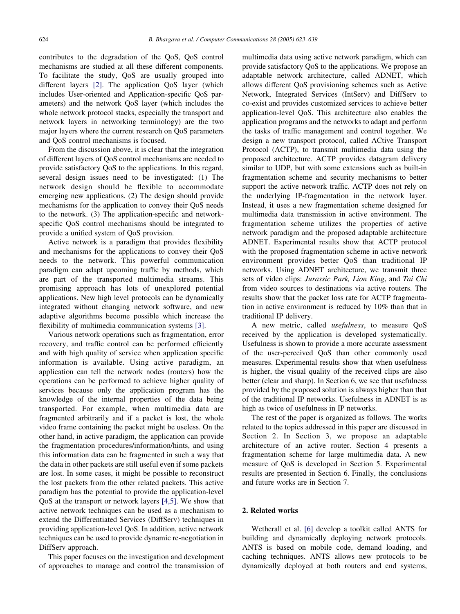contributes to the degradation of the QoS, QoS control mechanisms are studied at all these different components. To facilitate the study, QoS are usually grouped into different layers [\[2\]](#page-15-0). The application QoS layer (which includes User-oriented and Application-specific QoS parameters) and the network QoS layer (which includes the whole network protocol stacks, especially the transport and network layers in networking terminology) are the two major layers where the current research on QoS parameters and QoS control mechanisms is focused.

From the discussion above, it is clear that the integration of different layers of QoS control mechanisms are needed to provide satisfactory QoS to the applications. In this regard, several design issues need to be investigated: (1) The network design should be flexible to accommodate emerging new applications. (2) The design should provide mechanisms for the application to convey their QoS needs to the network. (3) The application-specific and networkspecific QoS control mechanisms should be integrated to provide a unified system of QoS provision.

Active network is a paradigm that provides flexibility and mechanisms for the applications to convey their QoS needs to the network. This powerful communication paradigm can adapt upcoming traffic by methods, which are part of the transported multimedia streams. This promising approach has lots of unexplored potential applications. New high level protocols can be dynamically integrated without changing network software, and new adaptive algorithms become possible which increase the flexibility of multimedia communication systems [\[3\]](#page-15-0).

Various network operations such as fragmentation, error recovery, and traffic control can be performed efficiently and with high quality of service when application specific information is available. Using active paradigm, an application can tell the network nodes (routers) how the operations can be performed to achieve higher quality of services because only the application program has the knowledge of the internal properties of the data being transported. For example, when multimedia data are fragmented arbitrarily and if a packet is lost, the whole video frame containing the packet might be useless. On the other hand, in active paradigm, the application can provide the fragmentation procedures/information/hints, and using this information data can be fragmented in such a way that the data in other packets are still useful even if some packets are lost. In some cases, it might be possible to reconstruct the lost packets from the other related packets. This active paradigm has the potential to provide the application-level QoS at the transport or network layers [\[4,5\]](#page-15-0). We show that active network techniques can be used as a mechanism to extend the Differentiated Services (DiffServ) techniques in providing application-level QoS. In addition, active network techniques can be used to provide dynamic re-negotiation in DiffServ approach.

This paper focuses on the investigation and development of approaches to manage and control the transmission of multimedia data using active network paradigm, which can provide satisfactory QoS to the applications. We propose an adaptable network architecture, called ADNET, which allows different QoS provisioning schemes such as Active Network, Integrated Services (IntServ) and DiffServ to co-exist and provides customized services to achieve better application-level QoS. This architecture also enables the application programs and the networks to adapt and perform the tasks of traffic management and control together. We design a new transport protocol, called ACtive Transport Protocol (ACTP), to transmit multimedia data using the proposed architecture. ACTP provides datagram delivery similar to UDP, but with some extensions such as built-in fragmentation scheme and security mechanisms to better support the active network traffic. ACTP does not rely on the underlying IP-fragmentation in the network layer. Instead, it uses a new fragmentation scheme designed for multimedia data transmission in active environment. The fragmentation scheme utilizes the properties of active network paradigm and the proposed adaptable architecture ADNET. Experimental results show that ACTP protocol with the proposed fragmentation scheme in active network environment provides better QoS than traditional IP networks. Using ADNET architecture, we transmit three sets of video clips: Jurassic Park, Lion King, and Tai Chi from video sources to destinations via active routers. The results show that the packet loss rate for ACTP fragmentation in active environment is reduced by 10% than that in traditional IP delivery.

A new metric, called usefulness, to measure QoS received by the application is developed systematically. Usefulness is shown to provide a more accurate assessment of the user-perceived QoS than other commonly used measures. Experimental results show that when usefulness is higher, the visual quality of the received clips are also better (clear and sharp). In Section 6, we see that usefulness provided by the proposed solution is always higher than that of the traditional IP networks. Usefulness in ADNET is as high as twice of usefulness in IP networks.

The rest of the paper is organized as follows. The works related to the topics addressed in this paper are discussed in Section 2. In Section 3, we propose an adaptable architecture of an active router. Section 4 presents a fragmentation scheme for large multimedia data. A new measure of QoS is developed in Section 5. Experimental results are presented in Section 6. Finally, the conclusions and future works are in Section 7.

# 2. Related works

Wetherall et al. [\[6\]](#page-15-0) develop a toolkit called ANTS for building and dynamically deploying network protocols. ANTS is based on mobile code, demand loading, and caching techniques. ANTS allows new protocols to be dynamically deployed at both routers and end systems,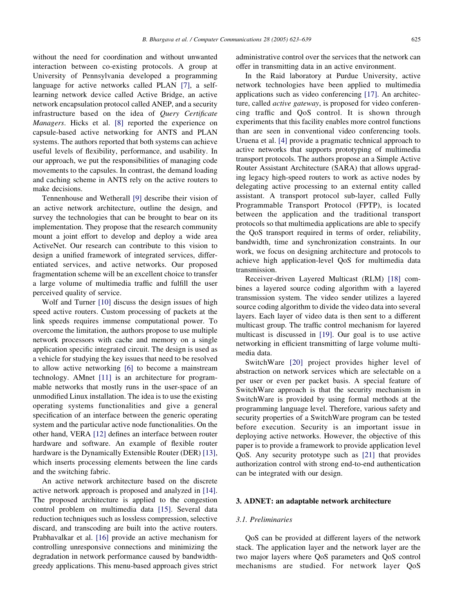without the need for coordination and without unwanted interaction between co-existing protocols. A group at University of Pennsylvania developed a programming language for active networks called PLAN [\[7\],](#page-15-0) a selflearning network device called Active Bridge, an active network encapsulation protocol called ANEP, and a security infrastructure based on the idea of Query Certificate Managers. Hicks et al. [\[8\]](#page-15-0) reported the experience on capsule-based active networking for ANTS and PLAN systems. The authors reported that both systems can achieve useful levels of flexibility, performance, and usability. In our approach, we put the responsibilities of managing code movements to the capsules. In contrast, the demand loading and caching scheme in ANTS rely on the active routers to make decisions.

Tennenhouse and Wetherall [\[9\]](#page-15-0) describe their vision of an active network architecture, outline the design, and survey the technologies that can be brought to bear on its implementation. They propose that the research community mount a joint effort to develop and deploy a wide area ActiveNet. Our research can contribute to this vision to design a unified framework of integrated services, differentiated services, and active networks. Our proposed fragmentation scheme will be an excellent choice to transfer a large volume of multimedia traffic and fulfill the user perceived quality of service.

Wolf and Turner [\[10\]](#page-15-0) discuss the design issues of high speed active routers. Custom processing of packets at the link speeds requires immense computational power. To overcome the limitation, the authors propose to use multiple network processors with cache and memory on a single application specific integrated circuit. The design is used as a vehicle for studying the key issues that need to be resolved to allow active networking [\[6\]](#page-15-0) to become a mainstream technology. AMnet [\[11\]](#page-15-0) is an architecture for programmable networks that mostly runs in the user-space of an unmodified Linux installation. The idea is to use the existing operating systems functionalities and give a general specification of an interface between the generic operating system and the particular active node functionalities. On the other hand, VERA [\[12\]](#page-15-0) defines an interface between router hardware and software. An example of flexible router hardware is the Dynamically Extensible Router (DER) [\[13\]](#page-15-0), which inserts processing elements between the line cards and the switching fabric.

An active network architecture based on the discrete active network approach is proposed and analyzed in [\[14\]](#page-15-0). The proposed architecture is applied to the congestion control problem on multimedia data [\[15\]](#page-15-0). Several data reduction techniques such as lossless compression, selective discard, and transcoding are built into the active routers. Prabhavalkar et al. [\[16\]](#page-15-0) provide an active mechanism for controlling unresponsive connections and minimizing the degradation in network performance caused by bandwidthgreedy applications. This menu-based approach gives strict administrative control over the services that the network can offer in transmitting data in an active environment.

In the Raid laboratory at Purdue University, active network technologies have been applied to multimedia applications such as video conferencing [\[17\]](#page-15-0). An architecture, called *active gateway*, is proposed for video conferencing traffic and QoS control. It is shown through experiments that this facility enables more control functions than are seen in conventional video conferencing tools. Uruena et al. [\[4\]](#page-15-0) provide a pragmatic technical approach to active networks that supports prototyping of multimedia transport protocols. The authors propose an a Simple Active Router Assistant Architecture (SARA) that allows upgrading legacy high-speed routers to work as active nodes by delegating active processing to an external entity called assistant. A transport protocol sub-layer, called Fully Programmable Transport Protocol (FPTP), is located between the application and the traditional transport protocols so that multimedia applications are able to specify the QoS transport required in terms of order, reliability, bandwidth, time and synchronization constraints. In our work, we focus on designing architecture and protocols to achieve high application-level QoS for multimedia data transmission.

Receiver-driven Layered Multicast (RLM) [\[18\]](#page-15-0) combines a layered source coding algorithm with a layered transmission system. The video sender utilizes a layered source coding algorithm to divide the video data into several layers. Each layer of video data is then sent to a different multicast group. The traffic control mechanism for layered multicast is discussed in [\[19\]](#page-15-0). Our goal is to use active networking in efficient transmitting of large volume multimedia data.

SwitchWare [\[20\]](#page-15-0) project provides higher level of abstraction on network services which are selectable on a per user or even per packet basis. A special feature of SwitchWare approach is that the security mechanism in SwitchWare is provided by using formal methods at the programming language level. Therefore, various safety and security properties of a SwitchWare program can be tested before execution. Security is an important issue in deploying active networks. However, the objective of this paper is to provide a framework to provide application level QoS. Any security prototype such as [\[21\]](#page-15-0) that provides authorization control with strong end-to-end authentication can be integrated with our design.

#### 3. ADNET: an adaptable network architecture

# 3.1. Preliminaries

QoS can be provided at different layers of the network stack. The application layer and the network layer are the two major layers where QoS parameters and QoS control mechanisms are studied. For network layer QoS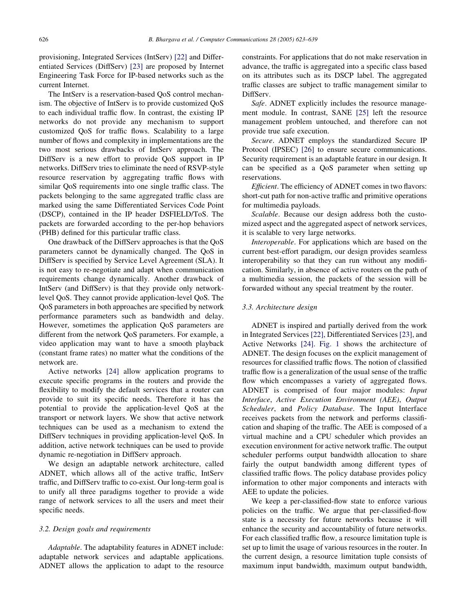provisioning, Integrated Services (IntServ) [\[22\]](#page-15-0) and Differentiated Services (DiffServ) [\[23\]](#page-15-0) are proposed by Internet Engineering Task Force for IP-based networks such as the current Internet.

The IntServ is a reservation-based QoS control mechanism. The objective of IntServ is to provide customized QoS to each individual traffic flow. In contrast, the existing IP networks do not provide any mechanism to support customized QoS for traffic flows. Scalability to a large number of flows and complexity in implementations are the two most serious drawbacks of IntServ approach. The DiffServ is a new effort to provide QoS support in IP networks. DiffServ tries to eliminate the need of RSVP-style resource reservation by aggregating traffic flows with similar QoS requirements into one single traffic class. The packets belonging to the same aggregated traffic class are marked using the same Differentiated Services Code Point (DSCP), contained in the IP header DSFIELD/ToS. The packets are forwarded according to the per-hop behaviors (PHB) defined for this particular traffic class.

One drawback of the DiffServ approaches is that the QoS parameters cannot be dynamically changed. The QoS in DiffServ is specified by Service Level Agreement (SLA). It is not easy to re-negotiate and adapt when communication requirements change dynamically. Another drawback of IntServ (and DiffServ) is that they provide only networklevel QoS. They cannot provide application-level QoS. The QoS parameters in both approaches are specified by network performance parameters such as bandwidth and delay. However, sometimes the application QoS parameters are different from the network QoS parameters. For example, a video application may want to have a smooth playback (constant frame rates) no matter what the conditions of the network are.

Active networks [\[24\]](#page-15-0) allow application programs to execute specific programs in the routers and provide the flexibility to modify the default services that a router can provide to suit its specific needs. Therefore it has the potential to provide the application-level QoS at the transport or network layers. We show that active network techniques can be used as a mechanism to extend the DiffServ techniques in providing application-level QoS. In addition, active network techniques can be used to provide dynamic re-negotiation in DiffServ approach.

We design an adaptable network architecture, called ADNET, which allows all of the active traffic, IntServ traffic, and DiffServ traffic to co-exist. Our long-term goal is to unify all three paradigms together to provide a wide range of network services to all the users and meet their specific needs.

#### 3.2. Design goals and requirements

Adaptable. The adaptability features in ADNET include: adaptable network services and adaptable applications. ADNET allows the application to adapt to the resource constraints. For applications that do not make reservation in advance, the traffic is aggregated into a specific class based on its attributes such as its DSCP label. The aggregated traffic classes are subject to traffic management similar to DiffServ.

Safe. ADNET explicitly includes the resource management module. In contrast, SANE [\[25\]](#page-15-0) left the resource management problem untouched, and therefore can not provide true safe execution.

Secure. ADNET employs the standardized Secure IP Protocol (IPSEC) [\[26\]](#page-15-0) to ensure secure communications. Security requirement is an adaptable feature in our design. It can be specified as a QoS parameter when setting up reservations.

Efficient. The efficiency of ADNET comes in two flavors: short-cut path for non-active traffic and primitive operations for multimedia payloads.

Scalable. Because our design address both the customized aspect and the aggregated aspect of network services, it is scalable to very large networks.

Interoperable. For applications which are based on the current best-effort paradigm, our design provides seamless interoperability so that they can run without any modification. Similarly, in absence of active routers on the path of a multimedia session, the packets of the session will be forwarded without any special treatment by the router.

#### 3.3. Architecture design

ADNET is inspired and partially derived from the work in Integrated Services [\[22\],](#page-15-0) Differentiated Services [\[23\],](#page-15-0) and Active Networks [\[24\].](#page-15-0) [Fig. 1](#page-4-0) shows the architecture of ADNET. The design focuses on the explicit management of resources for classified traffic flows. The notion of classified traffic flow is a generalization of the usual sense of the traffic flow which encompasses a variety of aggregated flows. ADNET is comprised of four major modules: Input Interface, Active Execution Environment (AEE), Output Scheduler, and Policy Database. The Input Interface receives packets from the network and performs classification and shaping of the traffic. The AEE is composed of a virtual machine and a CPU scheduler which provides an execution environment for active network traffic. The output scheduler performs output bandwidth allocation to share fairly the output bandwidth among different types of classified traffic flows. The policy database provides policy information to other major components and interacts with AEE to update the policies.

We keep a per-classified-flow state to enforce various policies on the traffic. We argue that per-classified-flow state is a necessity for future networks because it will enhance the security and accountability of future networks. For each classified traffic flow, a resource limitation tuple is set up to limit the usage of various resources in the router. In the current design, a resource limitation tuple consists of maximum input bandwidth, maximum output bandwidth,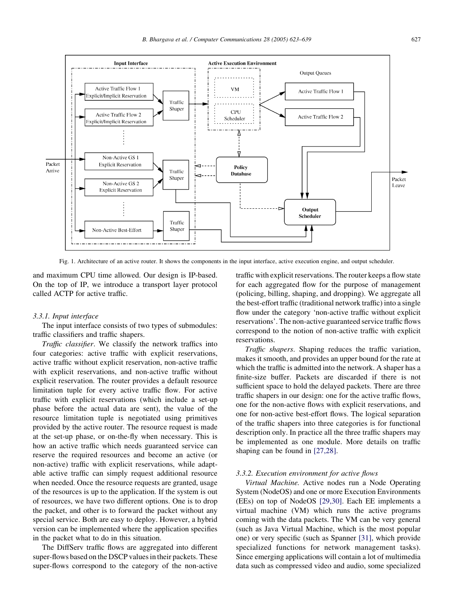<span id="page-4-0"></span>

Fig. 1. Architecture of an active router. It shows the components in the input interface, active execution engine, and output scheduler.

and maximum CPU time allowed. Our design is IP-based. On the top of IP, we introduce a transport layer protocol called ACTP for active traffic.

#### 3.3.1. Input interface

The input interface consists of two types of submodules: traffic classifiers and traffic shapers.

Traffic classifier. We classify the network traffics into four categories: active traffic with explicit reservations, active traffic without explicit reservation, non-active traffic with explicit reservations, and non-active traffic without explicit reservation. The router provides a default resource limitation tuple for every active traffic flow. For active traffic with explicit reservations (which include a set-up phase before the actual data are sent), the value of the resource limitation tuple is negotiated using primitives provided by the active router. The resource request is made at the set-up phase, or on-the-fly when necessary. This is how an active traffic which needs guaranteed service can reserve the required resources and become an active (or non-active) traffic with explicit reservations, while adaptable active traffic can simply request additional resource when needed. Once the resource requests are granted, usage of the resources is up to the application. If the system is out of resources, we have two different options. One is to drop the packet, and other is to forward the packet without any special service. Both are easy to deploy. However, a hybrid version can be implemented where the application specifies in the packet what to do in this situation.

The DiffServ traffic flows are aggregated into different super-flows based on the DSCP values in their packets. These super-flows correspond to the category of the non-active

traffic with explicit reservations. The router keeps a flow state for each aggregated flow for the purpose of management (policing, billing, shaping, and dropping). We aggregate all the best-effort traffic (traditional network traffic) into a single flow under the category 'non-active traffic without explicit reservations'. The non-active guaranteed service traffic flows correspond to the notion of non-active traffic with explicit reservations.

Traffic shapers. Shaping reduces the traffic variation, makes it smooth, and provides an upper bound for the rate at which the traffic is admitted into the network. A shaper has a finite-size buffer. Packets are discarded if there is not sufficient space to hold the delayed packets. There are three traffic shapers in our design: one for the active traffic flows, one for the non-active flows with explicit reservations, and one for non-active best-effort flows. The logical separation of the traffic shapers into three categories is for functional description only. In practice all the three traffic shapers may be implemented as one module. More details on traffic shaping can be found in [\[27,28\]](#page-15-0).

## 3.3.2. Execution environment for active flows

Virtual Machine. Active nodes run a Node Operating System (NodeOS) and one or more Execution Environments (EEs) on top of NodeOS [\[29,30\].](#page-16-0) Each EE implements a virtual machine (VM) which runs the active programs coming with the data packets. The VM can be very general (such as Java Virtual Machine, which is the most popular one) or very specific (such as Spanner [\[31\],](#page-16-0) which provide specialized functions for network management tasks). Since emerging applications will contain a lot of multimedia data such as compressed video and audio, some specialized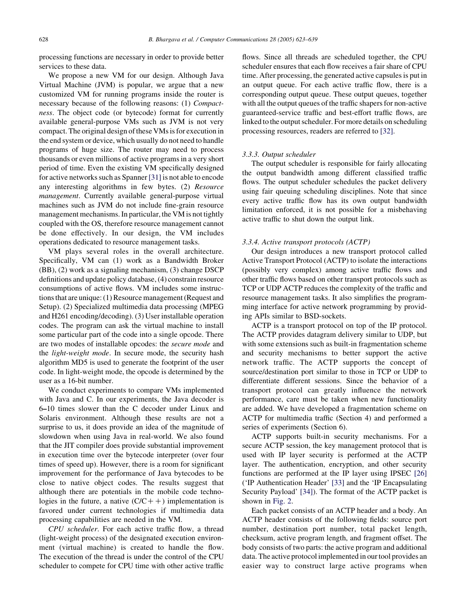processing functions are necessary in order to provide better services to these data.

We propose a new VM for our design. Although Java Virtual Machine (JVM) is popular, we argue that a new customized VM for running programs inside the router is necessary because of the following reasons: (1) Compactness. The object code (or bytecode) format for currently available general-purpose VMs such as JVM is not very compact. The original design of these VMs is for execution in the end system or device, which usually do not need to handle programs of huge size. The router may need to process thousands or even millions of active programs in a very short period of time. Even the existing VM specifically designed for active networks such as Spanner [\[31\]](#page-16-0) is not able to encode any interesting algorithms in few bytes. (2) Resource management. Currently available general-purpose virtual machines such as JVM do not include fine-grain resource management mechanisms. In particular, the VM is not tightly coupled with the OS, therefore resource management cannot be done effectively. In our design, the VM includes operations dedicated to resource management tasks.

VM plays several roles in the overall architecture. Specifically, VM can (1) work as a Bandwidth Broker (BB), (2) work as a signaling mechanism, (3) change DSCP definitions and update policy database, (4) constrain resource consumptions of active flows. VM includes some instructions that are unique: (1) Resource management (Request and Setup). (2) Specialized multimedia data processing (MPEG and H261 encoding/decoding). (3) User installable operation codes. The program can ask the virtual machine to install some particular part of the code into a single opcode. There are two modes of installable opcodes: the secure mode and the light-weight mode. In secure mode, the security hash algorithm MD5 is used to generate the footprint of the user code. In light-weight mode, the opcode is determined by the user as a 16-bit number.

We conduct experiments to compare VMs implemented with Java and C. In our experiments, the Java decoder is 6–10 times slower than the C decoder under Linux and Solaris environment. Although these results are not a surprise to us, it does provide an idea of the magnitude of slowdown when using Java in real-world. We also found that the JIT compiler does provide substantial improvement in execution time over the bytecode interpreter (over four times of speed up). However, there is a room for significant improvement for the performance of Java bytecodes to be close to native object codes. The results suggest that although there are potentials in the mobile code technologies in the future, a native  $(C/C + 1)$  implementation is favored under current technologies if multimedia data processing capabilities are needed in the VM.

CPU scheduler. For each active traffic flow, a thread (light-weight process) of the designated execution environment (virtual machine) is created to handle the flow. The execution of the thread is under the control of the CPU scheduler to compete for CPU time with other active traffic flows. Since all threads are scheduled together, the CPU scheduler ensures that each flow receives a fair share of CPU time. After processing, the generated active capsules is put in an output queue. For each active traffic flow, there is a corresponding output queue. These output queues, together with all the output queues of the traffic shapers for non-active guaranteed-service traffic and best-effort traffic flows, are linked to the output scheduler. For more details on scheduling processing resources, readers are referred to [\[32\].](#page-16-0)

#### 3.3.3. Output scheduler

The output scheduler is responsible for fairly allocating the output bandwidth among different classified traffic flows. The output scheduler schedules the packet delivery using fair queuing scheduling disciplines. Note that since every active traffic flow has its own output bandwidth limitation enforced, it is not possible for a misbehaving active traffic to shut down the output link.

#### 3.3.4. Active transport protocols (ACTP)

Our design introduces a new transport protocol called Active Transport Protocol (ACTP) to isolate the interactions (possibly very complex) among active traffic flows and other traffic flows based on other transport protocols such as TCP or UDP ACTP reduces the complexity of the traffic and resource management tasks. It also simplifies the programming interface for active network programming by providing APIs similar to BSD-sockets.

ACTP is a transport protocol on top of the IP protocol. The ACTP provides datagram delivery similar to UDP, but with some extensions such as built-in fragmentation scheme and security mechanisms to better support the active network traffic. The ACTP supports the concept of source/destination port similar to those in TCP or UDP to differentiate different sessions. Since the behavior of a transport protocol can greatly influence the network performance, care must be taken when new functionality are added. We have developed a fragmentation scheme on ACTP for multimedia traffic (Section 4) and performed a series of experiments (Section 6).

ACTP supports built-in security mechanisms. For a secure ACTP session, the key management protocol that is used with IP layer security is performed at the ACTP layer. The authentication, encryption, and other security functions are performed at the IP layer using IPSEC [\[26\]](#page-15-0) ('IP Authentication Header' [\[33\]](#page-16-0) and the 'IP Encapsulating Security Payload' [\[34\]](#page-16-0)). The format of the ACTP packet is shown in [Fig. 2](#page-6-0).

Each packet consists of an ACTP header and a body. An ACTP header consists of the following fields: source port number, destination port number, total packet length, checksum, active program length, and fragment offset. The body consists of two parts: the active program and additional data. The active protocol implemented in our tool provides an easier way to construct large active programs when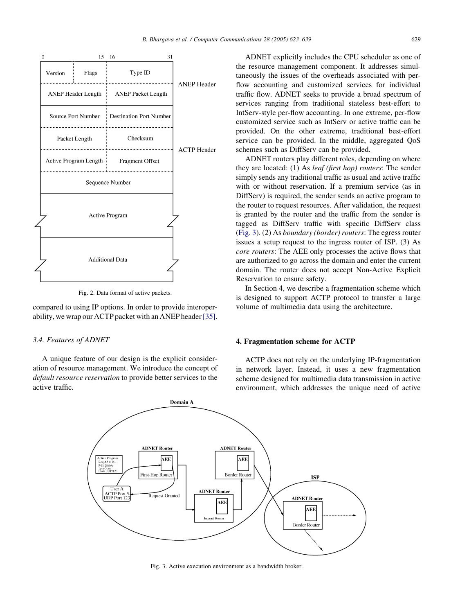<span id="page-6-0"></span>

Fig. 2. Data format of active packets.

compared to using IP options. In order to provide interoperability, we wrap our ACTP packet with an ANEP header[\[35\]](#page-16-0).

## 3.4. Features of ADNET

A unique feature of our design is the explicit consideration of resource management. We introduce the concept of default resource reservation to provide better services to the active traffic.

ADNET explicitly includes the CPU scheduler as one of the resource management component. It addresses simultaneously the issues of the overheads associated with perflow accounting and customized services for individual traffic flow. ADNET seeks to provide a broad spectrum of services ranging from traditional stateless best-effort to IntServ-style per-flow accounting. In one extreme, per-flow customized service such as IntServ or active traffic can be provided. On the other extreme, traditional best-effort service can be provided. In the middle, aggregated QoS schemes such as DiffServ can be provided.

ADNET routers play different roles, depending on where they are located: (1) As leaf (first hop) routers: The sender simply sends any traditional traffic as usual and active traffic with or without reservation. If a premium service (as in DiffServ) is required, the sender sends an active program to the router to request resources. After validation, the request is granted by the router and the traffic from the sender is tagged as DiffServ traffic with specific DiffServ class (Fig. 3). (2) As boundary (border) routers: The egress router issues a setup request to the ingress router of ISP. (3) As core routers: The AEE only processes the active flows that are authorized to go across the domain and enter the current domain. The router does not accept Non-Active Explicit Reservation to ensure safety.

In Section 4, we describe a fragmentation scheme which is designed to support ACTP protocol to transfer a large volume of multimedia data using the architecture.

#### 4. Fragmentation scheme for ACTP

ACTP does not rely on the underlying IP-fragmentation in network layer. Instead, it uses a new fragmentation scheme designed for multimedia data transmission in active environment, which addresses the unique need of active



Fig. 3. Active execution environment as a bandwidth broker.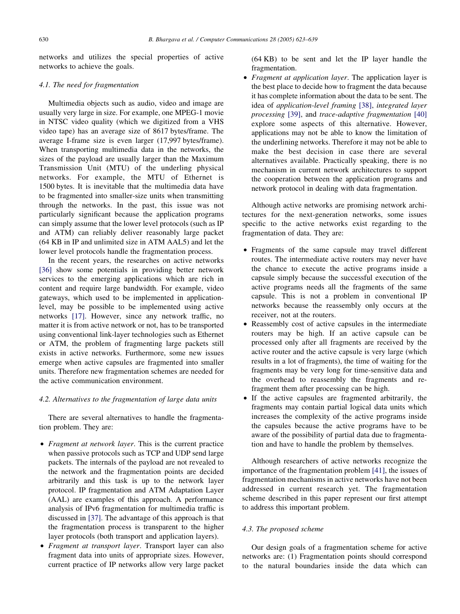networks and utilizes the special properties of active networks to achieve the goals.

#### 4.1. The need for fragmentation

Multimedia objects such as audio, video and image are usually very large in size. For example, one MPEG-1 movie in NTSC video quality (which we digitized from a VHS video tape) has an average size of 8617 bytes/frame. The average I-frame size is even larger (17,997 bytes/frame). When transporting multimedia data in the networks, the sizes of the payload are usually larger than the Maximum Transmission Unit (MTU) of the underling physical networks. For example, the MTU of Ethernet is 1500 bytes. It is inevitable that the multimedia data have to be fragmented into smaller-size units when transmitting through the networks. In the past, this issue was not particularly significant because the application programs can simply assume that the lower level protocols (such as IP and ATM) can reliably deliver reasonably large packet (64 KB in IP and unlimited size in ATM AAL5) and let the lower level protocols handle the fragmentation process.

In the recent years, the researches on active networks [\[36\]](#page-16-0) show some potentials in providing better network services to the emerging applications which are rich in content and require large bandwidth. For example, video gateways, which used to be implemented in applicationlevel, may be possible to be implemented using active networks [\[17\].](#page-15-0) However, since any network traffic, no matter it is from active network or not, has to be transported using conventional link-layer technologies such as Ethernet or ATM, the problem of fragmenting large packets still exists in active networks. Furthermore, some new issues emerge when active capsules are fragmented into smaller units. Therefore new fragmentation schemes are needed for the active communication environment.

# 4.2. Alternatives to the fragmentation of large data units

There are several alternatives to handle the fragmentation problem. They are:

- Fragment at network layer. This is the current practice when passive protocols such as TCP and UDP send large packets. The internals of the payload are not revealed to the network and the fragmentation points are decided arbitrarily and this task is up to the network layer protocol. IP fragmentation and ATM Adaptation Layer (AAL) are examples of this approach. A performance analysis of IPv6 fragmentation for multimedia traffic is discussed in [\[37\].](#page-16-0) The advantage of this approach is that the fragmentation process is transparent to the higher layer protocols (both transport and application layers).
- Fragment at transport layer. Transport layer can also fragment data into units of appropriate sizes. However, current practice of IP networks allow very large packet

(64 KB) to be sent and let the IP layer handle the fragmentation.

† Fragment at application layer. The application layer is the best place to decide how to fragment the data because it has complete information about the data to be sent. The idea of application-level framing [\[38\]](#page-16-0), integrated layer processing [\[39\]](#page-16-0), and trace-adaptive fragmentation [\[40\]](#page-16-0) explore some aspects of this alternative. However, applications may not be able to know the limitation of the underlining networks. Therefore it may not be able to make the best decision in case there are several alternatives available. Practically speaking, there is no mechanism in current network architectures to support the cooperation between the application programs and network protocol in dealing with data fragmentation.

Although active networks are promising network architectures for the next-generation networks, some issues specific to the active networks exist regarding to the fragmentation of data. They are:

- † Fragments of the same capsule may travel different routes. The intermediate active routers may never have the chance to execute the active programs inside a capsule simply because the successful execution of the active programs needs all the fragments of the same capsule. This is not a problem in conventional IP networks because the reassembly only occurs at the receiver, not at the routers.
- † Reassembly cost of active capsules in the intermediate routers may be high. If an active capsule can be processed only after all fragments are received by the active router and the active capsule is very large (which results in a lot of fragments), the time of waiting for the fragments may be very long for time-sensitive data and the overhead to reassembly the fragments and refragment them after processing can be high.
- If the active capsules are fragmented arbitrarily, the fragments may contain partial logical data units which increases the complexity of the active programs inside the capsules because the active programs have to be aware of the possibility of partial data due to fragmentation and have to handle the problem by themselves.

Although researchers of active networks recognize the importance of the fragmentation problem [\[41\]](#page-16-0), the issues of fragmentation mechanisms in active networks have not been addressed in current research yet. The fragmentation scheme described in this paper represent our first attempt to address this important problem.

#### 4.3. The proposed scheme

Our design goals of a fragmentation scheme for active networks are: (1) Fragmentation points should correspond to the natural boundaries inside the data which can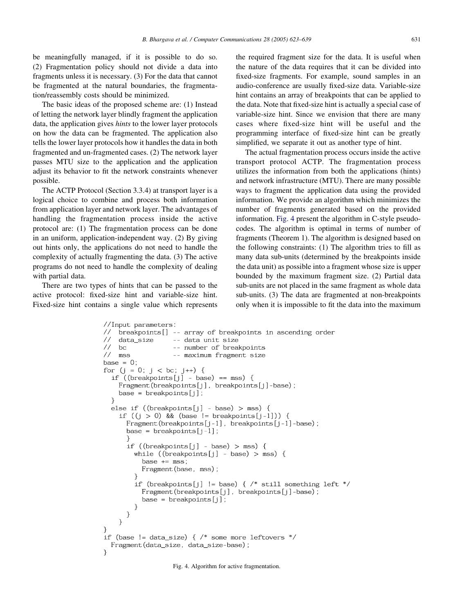<span id="page-8-0"></span>be meaningfully managed, if it is possible to do so. (2) Fragmentation policy should not divide a data into fragments unless it is necessary. (3) For the data that cannot be fragmented at the natural boundaries, the fragmentation/reassembly costs should be minimized.

The basic ideas of the proposed scheme are: (1) Instead of letting the network layer blindly fragment the application data, the application gives hints to the lower layer protocols on how the data can be fragmented. The application also tells the lower layer protocols how it handles the data in both fragmented and un-fragmented cases. (2) The network layer passes MTU size to the application and the application adjust its behavior to fit the network constraints whenever possible.

The ACTP Protocol (Section 3.3.4) at transport layer is a logical choice to combine and process both information from application layer and network layer. The advantages of handling the fragmentation process inside the active protocol are: (1) The fragmentation process can be done in an uniform, application-independent way. (2) By giving out hints only, the applications do not need to handle the complexity of actually fragmenting the data. (3) The active programs do not need to handle the complexity of dealing with partial data.

There are two types of hints that can be passed to the active protocol: fixed-size hint and variable-size hint. Fixed-size hint contains a single value which represents

the required fragment size for the data. It is useful when the nature of the data requires that it can be divided into fixed-size fragments. For example, sound samples in an audio-conference are usually fixed-size data. Variable-size hint contains an array of breakpoints that can be applied to the data. Note that fixed-size hint is actually a special case of variable-size hint. Since we envision that there are many cases where fixed-size hint will be useful and the programming interface of fixed-size hint can be greatly simplified, we separate it out as another type of hint.

The actual fragmentation process occurs inside the active transport protocol ACTP. The fragmentation process utilizes the information from both the applications (hints) and network infrastructure (MTU). There are many possible ways to fragment the application data using the provided information. We provide an algorithm which minimizes the number of fragments generated based on the provided information. Fig. 4 present the algorithm in C-style pseudocodes. The algorithm is optimal in terms of number of fragments (Theorem 1). The algorithm is designed based on the following constraints: (1) The algorithm tries to fill as many data sub-units (determined by the breakpoints inside the data unit) as possible into a fragment whose size is upper bounded by the maximum fragment size. (2) Partial data sub-units are not placed in the same fragment as whole data sub-units. (3) The data are fragmented at non-breakpoints only when it is impossible to fit the data into the maximum

```
//Input parameters:
// breakpoints[] -- array of breakpoints in ascending order
\frac{1}{2}data_size
                     -- data unit size
\frac{1}{\sqrt{2}} bc
                     -- number of breakpoints
\frac{1}{\sqrt{2}} mss
                     -- maximum fragment size
base = 0;
for (j = 0; j < bc; j++) {
  if ((breakpoints[j] - base) == ms) {
    Fragment(breakpoints[j], breakpoints[j]-base);base = breakpoints[i];
  \mathcal{F}else if ((breakpoints[j] - base) > ms) {
    if ((j > 0) && (base != breakpoints[j-1])) {
       Fragment (breakpoints [j-1], breakpoints [j-1]-base);
       base = breakpoints[j-1];
       P
       if ((breakpoints[j] - base) > mss) {
         while ((breakpoints[j] - base) > mss) {
            base += mss;
            Fragment(base, mss);
         P,
         if (breakpoints[j] != base) { /* still something left */
            \small \texttt{Fragment}(breakpoints[j] \text{, }breakpoints[j]\text{ -base}) \text{; } \normalsizebase = breakpoints [i];
         }
      \}\mathcal{E}\mathcal{E}(base != data_size) { /* some more leftovers */
ifFragment (data_size, data_size-base);
\mathcal{E}
```
Fig. 4. Algorithm for active fragmentation.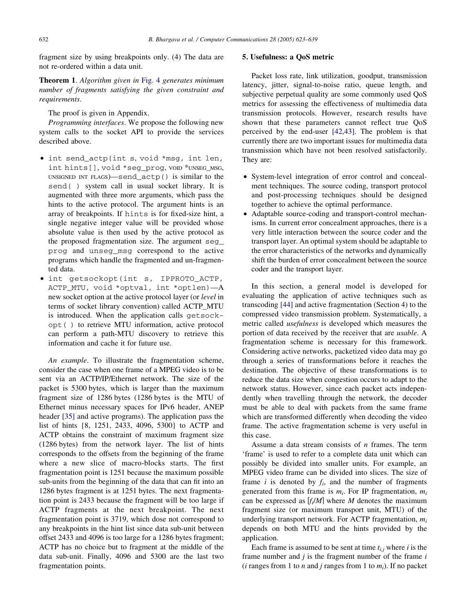fragment size by using breakpoints only. (4) The data are not re-ordered within a data unit.

Theorem 1. Algorithm given in [Fig. 4](#page-8-0) generates minimum number of fragments satisfying the given constraint and requirements.

The proof is given in Appendix.

Programming interfaces. We propose the following new system calls to the socket API to provide the services described above.

- int send\_actp(int s, void \*msg, int len, int hints[], void \*seg\_prog, VOID \*UNSEG\_MSG, UNSIGNED INT FLAGS)—send\_actp() is similar to the send( ) system call in usual socket library. It is augmented with three more arguments, which pass the hints to the active protocol. The argument hints is an array of breakpoints. If hints is for fixed-size hint, a single negative integer value will be provided whose absolute value is then used by the active protocol as the proposed fragmentation size. The argument seg\_ prog and unseg\_msg correspond to the active programs which handle the fragmented and un-fragmented data.
- † int getsockopt(int s, IPPROTO\_ACTP, ACTP\_MTU, void \*optval, int \*optlen)—A new socket option at the active protocol layer (or level in terms of socket library convention) called ACTP\_MTU is introduced. When the application calls getsockopt( ) to retrieve MTU information, active protocol can perform a path-MTU discovery to retrieve this information and cache it for future use.

An example. To illustrate the fragmentation scheme, consider the case when one frame of a MPEG video is to be sent via an ACTP/IP/Ethernet network. The size of the packet is 5300 bytes, which is larger than the maximum fragment size of 1286 bytes (1286 bytes is the MTU of Ethernet minus necessary spaces for IPv6 header, ANEP header [\[35\]](#page-16-0) and active programs). The application pass the list of hints {8, 1251, 2433, 4096, 5300} to ACTP and ACTP obtains the constraint of maximum fragment size (1286 bytes) from the network layer. The list of hints corresponds to the offsets from the beginning of the frame where a new slice of macro-blocks starts. The first fragmentation point is 1251 because the maximum possible sub-units from the beginning of the data that can fit into an 1286 bytes fragment is at 1251 bytes. The next fragmentation point is 2433 because the fragment will be too large if ACTP fragments at the next breakpoint. The next fragmentation point is 3719, which dose not correspond to any breakpoints in the hint list since data sub-unit between offset 2433 and 4096 is too large for a 1286 bytes fragment; ACTP has no choice but to fragment at the middle of the data sub-unit. Finally, 4096 and 5300 are the last two fragmentation points.

#### 5. Usefulness: a QoS metric

Packet loss rate, link utilization, goodput, transmission latency, jitter, signal-to-noise ratio, queue length, and subjective perpetual quality are some commonly used QoS metrics for assessing the effectiveness of multimedia data transmission protocols. However, research results have shown that these parameters cannot reflect true QoS perceived by the end-user [\[42,43\].](#page-16-0) The problem is that currently there are two important issues for multimedia data transmission which have not been resolved satisfactorily. They are:

- † System-level integration of error control and concealment techniques. The source coding, transport protocol and post-processing techniques should be designed together to achieve the optimal performance.
- † Adaptable source-coding and transport-control mechanisms. In current error concealment approaches, there is a very little interaction between the source coder and the transport layer. An optimal system should be adaptable to the error characteristics of the networks and dynamically shift the burden of error concealment between the source coder and the transport layer.

In this section, a general model is developed for evaluating the application of active techniques such as transcoding [\[44\]](#page-16-0) and active fragmentation (Section 4) to the compressed video transmission problem. Systematically, a metric called usefulness is developed which measures the portion of data received by the receiver that are usable. A fragmentation scheme is necessary for this framework. Considering active networks, packetized video data may go through a series of transformations before it reaches the destination. The objective of these transformations is to reduce the data size when congestion occurs to adapt to the network status. However, since each packet acts independently when travelling through the network, the decoder must be able to deal with packets from the same frame which are transformed differently when decoding the video frame. The active fragmentation scheme is very useful in this case.

Assume a data stream consists of  $n$  frames. The term 'frame' is used to refer to a complete data unit which can possibly be divided into smaller units. For example, an MPEG video frame can be divided into slices. The size of frame *i* is denoted by  $f_i$ , and the number of fragments generated from this frame is  $m_i$ . For IP fragmentation,  $m_i$ can be expressed as  $[f_i/M]$  where M denotes the maximum fragment size (or maximum transport unit, MTU) of the underlying transport network. For ACTP fragmentation,  $m_i$ depends on both MTU and the hints provided by the application.

Each frame is assumed to be sent at time  $t_{i,j}$  where i is the frame number and  $j$  is the fragment number of the frame  $i$ (*i* ranges from 1 to *n* and *j* ranges from 1 to  $m_i$ ). If no packet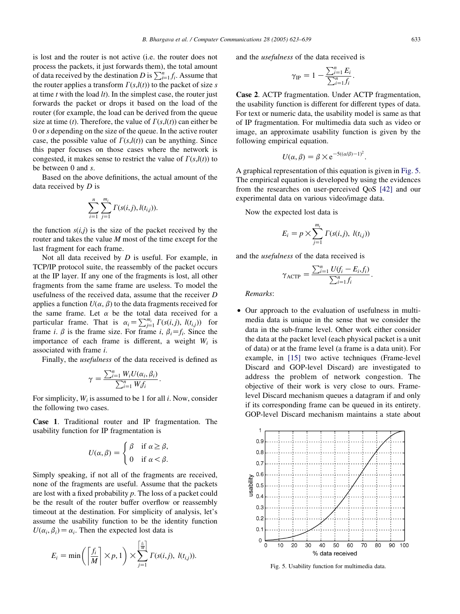is lost and the router is not active (i.e. the router does not process the packets, it just forwards them), the total amount of data received by the destination D is  $\sum_{i=1}^{n} f_i$ . Assume that the router applies a transform  $\Gamma(s,l(t))$  to the packet of size s at time  $t$  with the load  $lt$ . In the simplest case, the router just forwards the packet or drops it based on the load of the router (for example, the load can be derived from the queue size at time (t). Therefore, the value of  $\Gamma(s,l(t))$  can either be 0 or s depending on the size of the queue. In the active router case, the possible value of  $\Gamma(s,l(t))$  can be anything. Since this paper focuses on those cases where the network is congested, it makes sense to restrict the value of  $\Gamma(s,l(t))$  to be between 0 and s.

Based on the above definitions, the actual amount of the data received by D is

$$
\sum_{i=1}^n \sum_{j=1}^{m_i} \Gamma(s(i,j), l(t_{i,j})).
$$

the function  $s(i,j)$  is the size of the packet received by the router and takes the value  $M$  most of the time except for the last fragment for each frame.

Not all data received by  $D$  is useful. For example, in TCP/IP protocol suite, the reassembly of the packet occurs at the IP layer. If any one of the fragments is lost, all other fragments from the same frame are useless. To model the usefulness of the received data, assume that the receiver D applies a function  $U(\alpha, \beta)$  to the data fragments received for the same frame. Let  $\alpha$  be the total data received for a particular frame. That is  $\alpha_i = \sum_{j=1}^{m_i} \Gamma(s(i,j), l(t_{i,j}))$  for frame *i*.  $\beta$  is the frame size. For frame *i*,  $\beta_i = f_i$ . Since the importance of each frame is different, a weight  $W_i$  is associated with frame i.

Finally, the usefulness of the data received is defined as

:

$$
\gamma = \frac{\sum_{i=1}^{n} W_i U(\alpha_i, \beta_i)}{\sum_{i=1}^{n} W_i f_i}
$$

For simplicity,  $W_i$  is assumed to be 1 for all i. Now, consider the following two cases.

Case 1. Traditional router and IP fragmentation. The usability function for IP fragmentation is

$$
U(\alpha, \beta) = \begin{cases} \beta & \text{if } \alpha \ge \beta, \\ 0 & \text{if } \alpha < \beta. \end{cases}
$$

Simply speaking, if not all of the fragments are received, none of the fragments are useful. Assume that the packets are lost with a fixed probability p. The loss of a packet could be the result of the router buffer overflow or reassembly timeout at the destination. For simplicity of analysis, let's assume the usability function to be the identity function  $U(\alpha_i, \beta_i) = \alpha_i$ . Then the expected lost data is

$$
E_i = \min\left(\left\lceil \frac{f_i}{M} \right\rceil \times p, 1\right) \times \sum_{j=1}^{\left\lceil \frac{f_i}{M} \right\rceil} \Gamma(s(i,j), l(t_{i,j})).
$$

and the usefulness of the data received is

$$
\gamma_{\rm IP} = 1 - \frac{\sum_{i=1}^n E_i}{\sum_{i=1}^n f_i}
$$

:

Case 2. ACTP fragmentation. Under ACTP fragmentation, the usability function is different for different types of data. For text or numeric data, the usability model is same as that of IP fragmentation. For multimedia data such as video or image, an approximate usability function is given by the following empirical equation.

$$
U(\alpha, \beta) = \beta \times e^{-5((\alpha/\beta)-1)^2}.
$$

A graphical representation of this equation is given in Fig. 5. The empirical equation is developed by using the evidences from the researches on user-perceived QoS [\[42\]](#page-16-0) and our experimental data on various video/image data.

Now the expected lost data is

$$
E_i = p \times \sum_{j=1}^{m_i} \Gamma(s(i,j), l(t_{i,j}))
$$

and the usefulness of the data received is

$$
\gamma_{\text{ACTP}} = \frac{\sum_{i=1}^{n} U(f_i - E_i, f_i)}{\sum_{i=1}^{n} f_i}.
$$

Remarks:

• Our approach to the evaluation of usefulness in multimedia data is unique in the sense that we consider the data in the sub-frame level. Other work either consider the data at the packet level (each physical packet is a unit of data) or at the frame level (a frame is a data unit). For example, in [\[15\]](#page-15-0) two active techniques (Frame-level Discard and GOP-level Discard) are investigated to address the problem of network congestion. The objective of their work is very close to ours. Framelevel Discard mechanism queues a datagram if and only if its corresponding frame can be queued in its entirety. GOP-level Discard mechanism maintains a state about



Fig. 5. Usability function for multimedia data.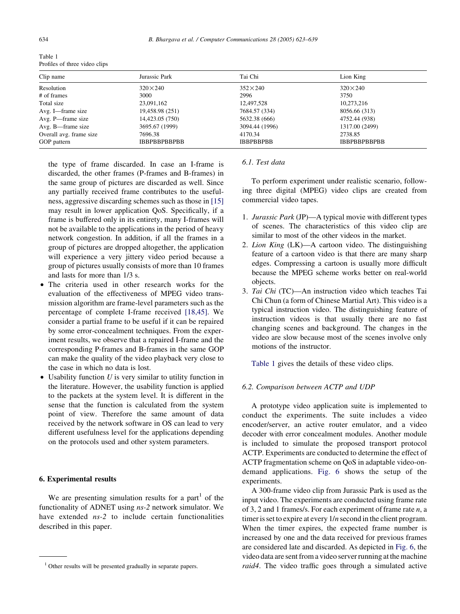| Clip name               | Jurassic Park       | Tai Chi          | Lion King           |  |  |
|-------------------------|---------------------|------------------|---------------------|--|--|
| Resolution              | $320\times240$      | $352\times240$   | $320\times240$      |  |  |
| # of frames             | 3000                | 2996             | 3750                |  |  |
| Total size              | 23,091,162          | 12,497,528       | 10,273,216          |  |  |
| Avg. I—frame size       | 19,458.98 (251)     | 7684.57 (334)    | 8056.66 (313)       |  |  |
| Avg. P—frame size       | 14,423.05 (750)     | 5632.38 (666)    | 4752.44 (938)       |  |  |
| Avg. B—frame size       | 3695.67 (1999)      | 3094.44 (1996)   | 1317.00 (2499)      |  |  |
| Overall avg. frame size | 7696.38             | 4170.34          | 2738.85             |  |  |
| GOP pattern             | <b>IBBPBBPBBPBB</b> | <b>IBBPBBPBB</b> | <b>IBBPBBPBBPBB</b> |  |  |

Table 1 Profiles of three video clips

the type of frame discarded. In case an I-frame is discarded, the other frames (P-frames and B-frames) in the same group of pictures are discarded as well. Since any partially received frame contributes to the usefulness, aggressive discarding schemes such as those in [\[15\]](#page-15-0) may result in lower application QoS. Specifically, if a frame is buffered only in its entirety, many I-frames will not be available to the applications in the period of heavy network congestion. In addition, if all the frames in a group of pictures are dropped altogether, the application will experience a very jittery video period because a group of pictures usually consists of more than 10 frames and lasts for more than 1/3 s.

- The criteria used in other research works for the evaluation of the effectiveness of MPEG video transmission algorithm are frame-level parameters such as the percentage of complete I-frame received [\[18,45\]](#page-15-0). We consider a partial frame to be useful if it can be repaired by some error-concealment techniques. From the experiment results, we observe that a repaired I-frame and the corresponding P-frames and B-frames in the same GOP can make the quality of the video playback very close to the case in which no data is lost.
- $\bullet$  Usability function U is very similar to utility function in the literature. However, the usability function is applied to the packets at the system level. It is different in the sense that the function is calculated from the system point of view. Therefore the same amount of data received by the network software in OS can lead to very different usefulness level for the applications depending on the protocols used and other system parameters.

# 6. Experimental results

We are presenting simulation results for a part<sup>1</sup> of the functionality of ADNET using ns-2 network simulator. We have extended *ns-2* to include certain functionalities described in this paper.

#### 6.1. Test data

To perform experiment under realistic scenario, following three digital (MPEG) video clips are created from commercial video tapes.

- 1. Jurassic Park (JP)—A typical movie with different types of scenes. The characteristics of this video clip are similar to most of the other videos in the market.
- 2. Lion King (LK)—A cartoon video. The distinguishing feature of a cartoon video is that there are many sharp edges. Compressing a cartoon is usually more difficult because the MPEG scheme works better on real-world objects.
- 3. Tai Chi (TC)—An instruction video which teaches Tai Chi Chun (a form of Chinese Martial Art). This video is a typical instruction video. The distinguishing feature of instruction videos is that usually there are no fast changing scenes and background. The changes in the video are slow because most of the scenes involve only motions of the instructor.

Table 1 gives the details of these video clips.

# 6.2. Comparison between ACTP and UDP

A prototype video application suite is implemented to conduct the experiments. The suite includes a video encoder/server, an active router emulator, and a video decoder with error concealment modules. Another module is included to simulate the proposed transport protocol ACTP. Experiments are conducted to determine the effect of ACTP fragmentation scheme on QoS in adaptable video-ondemand applications. [Fig. 6](#page-12-0) shows the setup of the experiments.

A 300-frame video clip from Jurassic Park is used as the input video. The experiments are conducted using frame rate of 3, 2 and 1 frames/s. For each experiment of frame rate  $n$ , a timer is set to expire at every  $1/n$  second in the client program. When the timer expires, the expected frame number is increased by one and the data received for previous frames are considered late and discarded. As depicted in [Fig. 6](#page-12-0), the video data are sent from a video server running at the machine raid4. The video traffic goes through a simulated active

 $1$  Other results will be presented gradually in separate papers.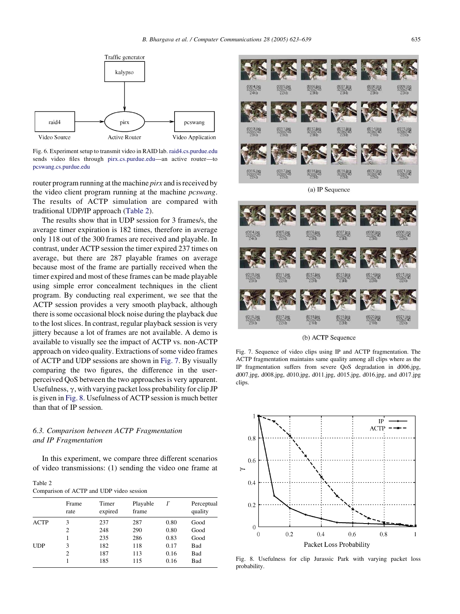<span id="page-12-0"></span>

Fig. 6. Experiment setup to transmit video in RAID lab. [raid4.cs.purdue.edu](http://raid4.cs.purdue.edu) sends video files through [pirx.cs.purdue.edu](http://pirx.cs.purdue.edu)—an active router—to [pcswang.cs.purdue.edu](http://pcswang.cs.purdue.edu)

router program running at the machine pirx and is received by the video client program running at the machine pcswang. The results of ACTP simulation are compared with traditional UDP/IP approach (Table 2).

The results show that in UDP session for 3 frames/s, the average timer expiration is 182 times, therefore in average only 118 out of the 300 frames are received and playable. In contrast, under ACTP session the timer expired 237 times on average, but there are 287 playable frames on average because most of the frame are partially received when the timer expired and most of these frames can be made playable using simple error concealment techniques in the client program. By conducting real experiment, we see that the ACTP session provides a very smooth playback, although there is some occasional block noise during the playback due to the lost slices. In contrast, regular playback session is very jittery because a lot of frames are not available. A demo is available to visually see the impact of ACTP vs. non-ACTP approach on video quality. Extractions of some video frames of ACTP and UDP sessions are shown in Fig. 7. By visually comparing the two figures, the difference in the userperceived QoS between the two approaches is very apparent. Usefulness,  $\gamma$ , with varying packet loss probability for clip JP is given in Fig. 8. Usefulness of ACTP session is much better than that of IP session.

# 6.3. Comparison between ACTP Fragmentation and IP Fragmentation

In this experiment, we compare three different scenarios of video transmissions: (1) sending the video one frame at

| Table 2                                  |  |
|------------------------------------------|--|
| Comparison of ACTP and UDP video session |  |

|             | Frame<br>rate | Timer<br>expired | Playable<br>frame | $\Gamma$ | Perceptual<br>quality |
|-------------|---------------|------------------|-------------------|----------|-----------------------|
| <b>ACTP</b> | 3             | 237              | 287               | 0.80     | Good                  |
|             | 2             | 248              | 290               | 0.80     | Good                  |
|             |               | 235              | 286               | 0.83     | Good                  |
| UDP         | 3             | 182              | 118               | 0.17     | Bad                   |
|             | 2             | 187              | 113               | 0.16     | Bad                   |
|             |               | 185              | 115               | 0.16     | Bad                   |



(a) IP Sequence



(b) ACTP Sequence

Fig. 7. Sequence of video clips using IP and ACTP fragmentation. The ACTP fragmentation maintains same quality among all clips where as the IP fragmentation suffers from severe QoS degradation in d006.jpg, d007.jpg, d008.jpg, d010.jpg, d011.jpg, d015.jpg, d016.jpg, and d017.jpg clips.



Fig. 8. Usefulness for clip Jurassic Park with varying packet loss probability.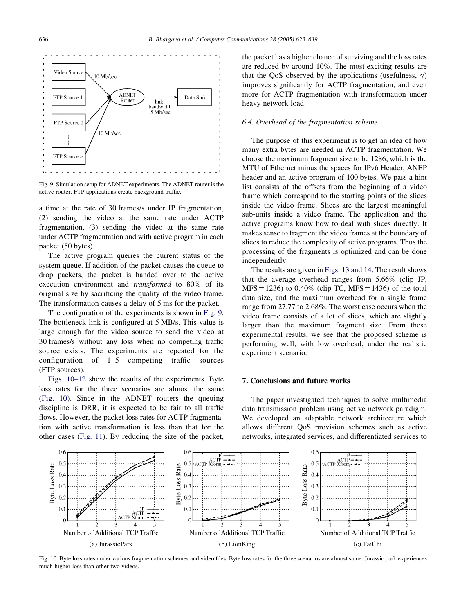

Fig. 9. Simulation setup for ADNET experiments. The ADNET router is the active router. FTP applications create background traffic.

a time at the rate of 30 frames/s under IP fragmentation, (2) sending the video at the same rate under ACTP fragmentation, (3) sending the video at the same rate under ACTP fragmentation and with active program in each packet (50 bytes).

The active program queries the current status of the system queue. If addition of the packet causes the queue to drop packets, the packet is handed over to the active execution environment and transformed to 80% of its original size by sacrificing the quality of the video frame. The transformation causes a delay of 5 ms for the packet.

The configuration of the experiments is shown in Fig. 9. The bottleneck link is configured at 5 MB/s. This value is large enough for the video source to send the video at 30 frames/s without any loss when no competing traffic source exists. The experiments are repeated for the configuration of 1–5 competing traffic sources (FTP sources).

Figs. 10–12 show the results of the experiments. Byte loss rates for the three scenarios are almost the same (Fig. 10). Since in the ADNET routers the queuing discipline is DRR, it is expected to be fair to all traffic flows. However, the packet loss rates for ACTP fragmentation with active transformation is less than that for the other cases [\(Fig. 11](#page-14-0)). By reducing the size of the packet, the packet has a higher chance of surviving and the loss rates are reduced by around 10%. The most exciting results are that the OoS observed by the applications (usefulness,  $\gamma$ ) improves significantly for ACTP fragmentation, and even more for ACTP fragmentation with transformation under heavy network load.

## 6.4. Overhead of the fragmentation scheme

The purpose of this experiment is to get an idea of how many extra bytes are needed in ACTP fragmentation. We choose the maximum fragment size to be 1286, which is the MTU of Ethernet minus the spaces for IPv6 Header, ANEP header and an active program of 100 bytes. We pass a hint list consists of the offsets from the beginning of a video frame which correspond to the starting points of the slices inside the video frame. Slices are the largest meaningful sub-units inside a video frame. The application and the active programs know how to deal with slices directly. It makes sense to fragment the video frames at the boundary of slices to reduce the complexity of active programs. Thus the processing of the fragments is optimized and can be done independently.

The results are given in [Figs. 13 and 14](#page-14-0). The result shows that the average overhead ranges from 5.66% (clip JP,  $MFS = 1236$ ) to 0.40% (clip TC, MFS = 1436) of the total data size, and the maximum overhead for a single frame range from 27.77 to 2.68%. The worst case occurs when the video frame consists of a lot of slices, which are slightly larger than the maximum fragment size. From these experimental results, we see that the proposed scheme is performing well, with low overhead, under the realistic experiment scenario.

#### 7. Conclusions and future works

The paper investigated techniques to solve multimedia data transmission problem using active network paradigm. We developed an adaptable network architecture which allows different QoS provision schemes such as active networks, integrated services, and differentiated services to



Fig. 10. Byte loss rates under various fragmentation schemes and video files. Byte loss rates for the three scenarios are almost same. Jurassic park experiences much higher loss than other two videos.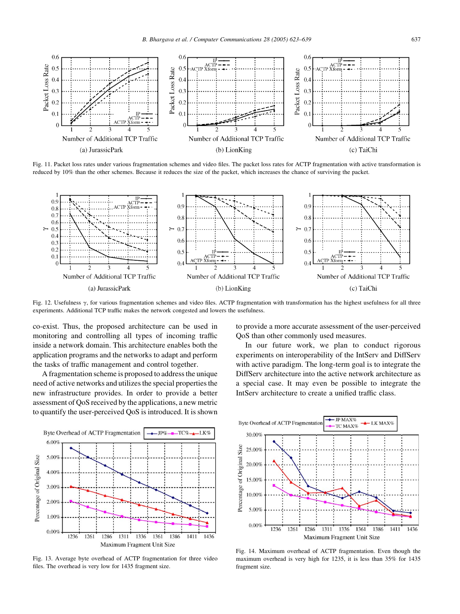<span id="page-14-0"></span>

Fig. 11. Packet loss rates under various fragmentation schemes and video files. The packet loss rates for ACTP fragmentation with active transformation is reduced by 10% than the other schemes. Because it reduces the size of the packet, which increases the chance of surviving the packet.



Fig. 12. Usefulness  $\gamma$ , for various fragmentation schemes and video files. ACTP fragmentation with transformation has the highest usefulness for all three experiments. Additional TCP traffic makes the network congested and lowers the usefulness.

co-exist. Thus, the proposed architecture can be used in monitoring and controlling all types of incoming traffic inside a network domain. This architecture enables both the application programs and the networks to adapt and perform the tasks of traffic management and control together.

A fragmentation scheme is proposed to address the unique need of active networks and utilizes the special properties the new infrastructure provides. In order to provide a better assessment of QoS received by the applications, a new metric to quantify the user-perceived QoS is introduced. It is shown



Fig. 13. Average byte overhead of ACTP fragmentation for three video files. The overhead is very low for 1435 fragment size.

to provide a more accurate assessment of the user-perceived QoS than other commonly used measures.

In our future work, we plan to conduct rigorous experiments on interoperability of the IntServ and DiffServ with active paradigm. The long-term goal is to integrate the DiffServ architecture into the active network architecture as a special case. It may even be possible to integrate the IntServ architecture to create a unified traffic class.



Fig. 14. Maximum overhead of ACTP fragmentation. Even though the maximum overhead is very high for 1235, it is less than 35% for 1435 fragment size.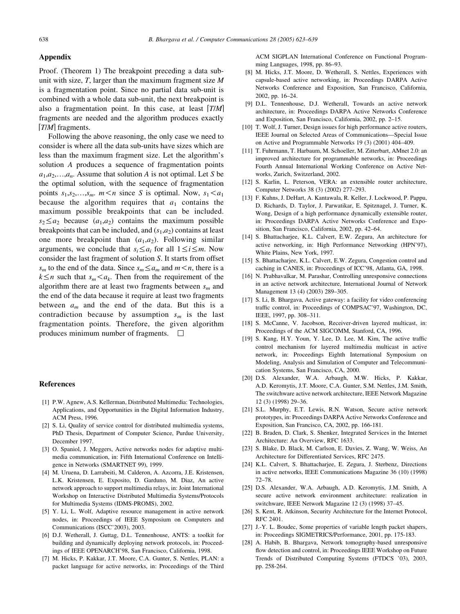## <span id="page-15-0"></span>Appendix

Proof. (Theorem 1) The breakpoint preceding a data subunit with size,  $T$ , larger than the maximum fragment size  $M$ is a fragmentation point. Since no partial data sub-unit is combined with a whole data sub-unit, the next breakpoint is also a fragmentation point. In this case, at least  $[T/M]$ fragments are needed and the algorithm produces exactly [ $T/M$ ] fragments.

Following the above reasoning, the only case we need to consider is where all the data sub-units have sizes which are less than the maximum fragment size. Let the algorithm's solution A produces a sequence of fragmentation points  $a_1, a_2, \ldots, a_n$ . Assume that solution A is not optimal. Let S be the optimal solution, with the sequence of fragmentation points  $s_1, s_2,...,s_m$ .  $m \le n$  since S is optimal. Now,  $s_1 \le a_1$ because the algorithm requires that  $a_1$  contains the maximum possible breakpoints that can be included.  $s_2 \le a_2$  because  $(a_1, a_2)$  contains the maximum possible breakpoints that can be included, and  $(s_1, a_2)$  contains at least one more breakpoint than  $(a_1, a_2)$ . Following similar arguments, we conclude that  $s_i \leq a_i$  for all  $1 \leq i \leq m$ . Now consider the last fragment of solution S. It starts from offset  $s_m$  to the end of the data. Since  $s_m \le a_m$  and  $m < n$ , there is a  $k \leq n$  such that  $s_m < a_k$ . Then from the requirement of the algorithm there are at least two fragments between  $s_m$  and the end of the data because it require at least two fragments between  $a_m$  and the end of the data. But this is a contradiction because by assumption  $s_m$  is the last fragmentation points. Therefore, the given algorithm produces minimum number of fragments.  $\Box$ 

#### References

- [1] P.W. Agnew, A.S. Kellerman, Distributed Multimedia: Technologies, Applications, and Opportunities in the Digital Information Industry, ACM Press, 1996.
- [2] S. Li, Quality of service control for distributed multimedia systems, PhD Thesis, Department of Computer Science, Purdue University, December 1997.
- [3] O. Spaniol, J. Meggers, Active networks nodes for adaptive multimedia communication, in: Fifth International Conference on Intelligence in Networks (SMARTNET 99), 1999.
- [4] M. Uruena, D. Larrabeiti, M. Calderon, A. Azcorra, J.E. Kristensen, L.K. Kristensen, E. Exposito, D. Garduno, M. Diaz, An active network approach to support multimedia relays, in: Joint International Workshop on Interactive Distributed Multimedia Systems/Protocols for Multimedia Systems (IDMS-PROMS), 2002.
- [5] Y. Li, L. Wolf, Adaptive resource management in active network nodes, in: Proceedings of IEEE Symposium on Computers and Communications (ISCC'2003), 2003.
- [6] D.J. Wetherall, J. Guttag, D.L. Tennenhouse, ANTS: a toolkit for building and dynamically deploying network protocols, in: Proceedings of IEEE OPENARCH'98, San Francisco, California, 1998.
- [7] M. Hicks, P. Kakkar, J.T. Moore, C.A. Gunter, S. Nettles, PLAN: a packet language for active networks, in: Proceedings of the Third

ACM SIGPLAN International Conference on Functional Programming Languages, 1998, pp. 86–93.

- [8] M. Hicks, J.T. Moore, D. Wetherall, S. Nettles, Experiences with capsule-based active networking, in: Proceedings DARPA Active Networks Conference and Exposition, San Francisco, California, 2002, pp. 16–24.
- [9] D.L. Tennenhouse, D.J. Wetherall, Towards an active network architecture, in: Proceedings DARPA Active Networks Conference and Exposition, San Francisco, California, 2002, pp. 2–15.
- [10] T. Wolf, J. Turner, Design issues for high performance active routers, IEEE Journal on Selected Areas of Communications—Special Issue on Active and Programmable Networks 19 (3) (2001) 404–409.
- [11] T. Fuhrmann, T. Harbaum, M. Schoeller, M. Zitterbart, AMnet 2.0: an improved architecture for programmable networks, in: Proceedings Fourth Annual International Working Conference on Active Networks, Zurich, Switzerland, 2002.
- [12] S. Karlin, L. Peterson, VERA: an extensible router architecture, Computer Networks 38 (3) (2002) 277–293.
- [13] F. Kuhns, J. DeHart, A. Kantawala, R. Keller, J. Lockwood, P. Pappu, D. Richards, D. Taylor, J. Parwatikar, E. Spitznagel, J. Turner, K. Wong, Design of a high performance dynamically extensible router, in: Proceedings DARPA Active Networks Conference and Exposition, San Francisco, California, 2002, pp. 42–64.
- [14] S. Bhattacharjee, K.L. Calvert, E.W. Zegura, An architecture for active networking, in: High Performance Networking (HPN'97), White Plains, New York, 1997.
- [15] S. Bhattacharjee, K.L. Calvert, E.W. Zegura, Congestion control and caching in CANES, in: Proceedings of ICC'98, Atlanta, GA, 1998.
- [16] N. Prabhavalkar, M. Parashar, Controlling unresponsive connections in an active network architecture, International Journal of Network Management 13 (4) (2003) 289–305.
- [17] S. Li, B. Bhargava, Active gateway: a facility for video conferencing traffic control, in: Proceedings of COMPSAC'97, Washington, DC, IEEE, 1997, pp. 308–311.
- [18] S. McCanne, V. Jacobson, Receiver-driven layered multicast, in: Proceedings of the ACM SIGCOMM, Stanford, CA, 1996.
- [19] S. Kang, H.Y. Youn, Y. Lee, D. Lee, M. Kim, The active traffic control mechanism for layered multimedia multicast in active network, in: Proceedings Eighth International Symposium on Modeling, Analysis and Simulation of Computer and Telecommunication Systems, San Francisco, CA, 2000.
- [20] D.S. Alexander, W.A. Arbaugh, M.W. Hicks, P. Kakkar, A.D. Keromytis, J.T. Moore, C.A. Gunter, S.M. Nettles, J.M. Smith, The switchware active network architecture, IEEE Network Magazine 12 (3) (1998) 29–36.
- [21] S.L. Murphy, E.T. Lewis, R.N. Watson, Secure active network prototypes, in: Proceedings DARPA Active Networks Conference and Exposition, San Francisco, CA, 2002, pp. 166-181.
- [22] B. Braden, D. Clark, S. Shenker, Integrated Services in the Internet Architecture: An Overview, RFC 1633.
- [23] S. Blake, D. Black, M. Carlson, E. Davies, Z. Wang, W. Weiss, An Architecture for Differentiated Services, RFC 2475.
- [24] K.L. Calvert, S. Bhattacharjee, E. Zegura, J. Sterbenz, Directions in active networks, IEEE Communications Magazine 36 (10) (1998) 72–78.
- [25] D.S. Alexander, W.A. Arbaugh, A.D. Keromytis, J.M. Smith, A secure active network environment architecture: realization in switchware, IEEE Network Magazine 12 (3) (1998) 37–45.
- [26] S. Kent, R. Atkinson, Security Architecture for the Internet Protocol, RFC 2401.
- [27] J.-Y. L. Boudec, Some properties of variable length packet shapers, in: Proceedings SIGMETRICS/Performance, 2001, pp. 175-183.
- [28] A. Habib, B. Bhargava, Network tomography-based unresponsive flow detection and control, in: Proceedings IEEE Workshop on Future Trends of Distributed Computing Systems (FTDCS '03), 2003, pp. 258-264.